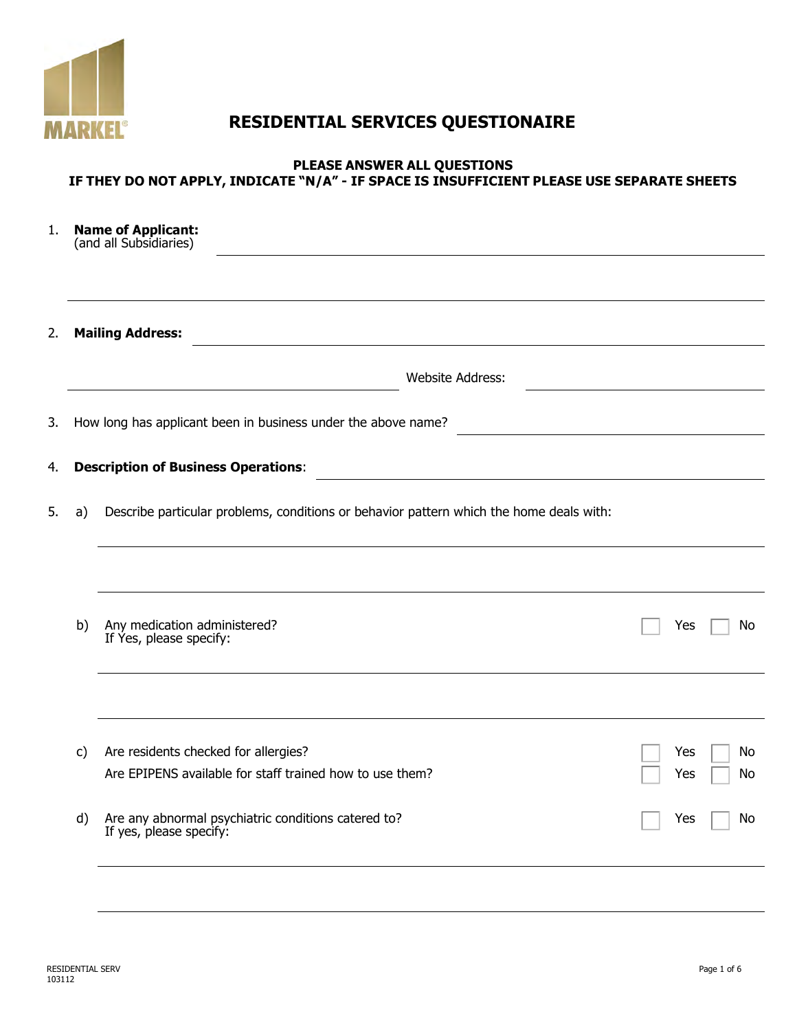

# **RESIDENTIAL SERVICES QUESTIONAIRE**

#### **PLEASE ANSWER ALL QUESTIONS IF THEY DO NOT APPLY, INDICATE "N/A" - IF SPACE IS INSUFFICIENT PLEASE USE SEPARATE SHEETS**

| 1. |    | <b>Name of Applicant:</b><br>(and all Subsidiaries)                                                                                                                 |  |            |          |  |  |  |  |  |  |  |
|----|----|---------------------------------------------------------------------------------------------------------------------------------------------------------------------|--|------------|----------|--|--|--|--|--|--|--|
| 2. |    | <b>Mailing Address:</b>                                                                                                                                             |  |            |          |  |  |  |  |  |  |  |
|    |    | <b>Website Address:</b>                                                                                                                                             |  |            |          |  |  |  |  |  |  |  |
| 3. |    | How long has applicant been in business under the above name?                                                                                                       |  |            |          |  |  |  |  |  |  |  |
| 4. |    | <b>Description of Business Operations:</b><br><u> 1989 - Jan Sterling von Berling von Berling von Berling von Berling von Berling von Berling von Berling von B</u> |  |            |          |  |  |  |  |  |  |  |
| 5. | a) | Describe particular problems, conditions or behavior pattern which the home deals with:                                                                             |  |            |          |  |  |  |  |  |  |  |
|    |    |                                                                                                                                                                     |  |            |          |  |  |  |  |  |  |  |
|    | b) | Any medication administered?<br>If Yes, please specify:                                                                                                             |  | Yes        | No       |  |  |  |  |  |  |  |
|    |    |                                                                                                                                                                     |  |            |          |  |  |  |  |  |  |  |
|    | C) | Are residents checked for allergies?<br>Are EPIPENS available for staff trained how to use them?                                                                    |  | Yes<br>Yes | No<br>No |  |  |  |  |  |  |  |
|    | d) | Are any abnormal psychiatric conditions catered to?<br>If yes, please specify:                                                                                      |  | Yes        | No       |  |  |  |  |  |  |  |
|    |    |                                                                                                                                                                     |  |            |          |  |  |  |  |  |  |  |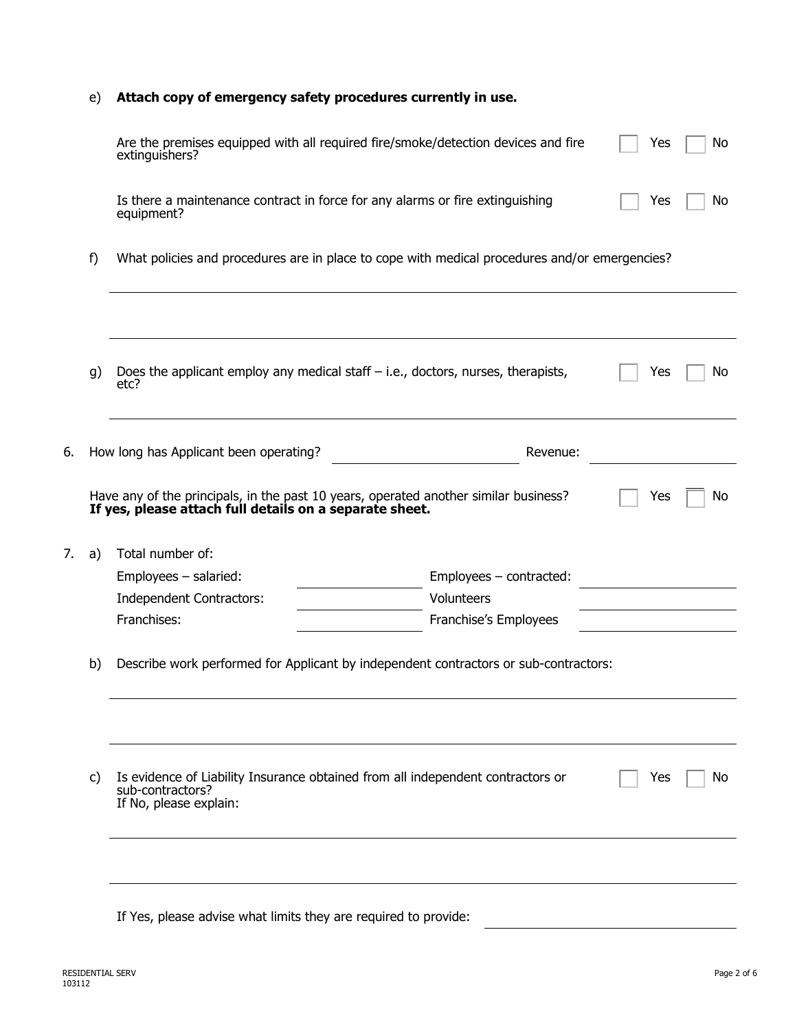### e) **Attach copy of emergency safety procedures currently in use.**

|    |    | Are the premises equipped with all required fire/smoke/detection devices and fire<br>extinguishers?                                             | Yes                                                                                  | No  |     |  |  |  |  |  |
|----|----|-------------------------------------------------------------------------------------------------------------------------------------------------|--------------------------------------------------------------------------------------|-----|-----|--|--|--|--|--|
|    |    | Is there a maintenance contract in force for any alarms or fire extinguishing<br>equipment?                                                     | Yes                                                                                  | No. |     |  |  |  |  |  |
|    | f) | What policies and procedures are in place to cope with medical procedures and/or emergencies?                                                   |                                                                                      |     |     |  |  |  |  |  |
|    |    |                                                                                                                                                 |                                                                                      |     |     |  |  |  |  |  |
|    | g) | Does the applicant employ any medical staff $-$ i.e., doctors, nurses, therapists,<br>etc?                                                      |                                                                                      | Yes | No  |  |  |  |  |  |
| 6. |    | How long has Applicant been operating?                                                                                                          | Revenue:                                                                             |     |     |  |  |  |  |  |
|    |    | Have any of the principals, in the past 10 years, operated another similar business?<br>If yes, please attach full details on a separate sheet. |                                                                                      | Yes | No  |  |  |  |  |  |
|    |    |                                                                                                                                                 |                                                                                      |     |     |  |  |  |  |  |
| 7. | a) | Total number of:                                                                                                                                |                                                                                      |     |     |  |  |  |  |  |
|    |    | $Employes - salaried:$                                                                                                                          | Employees - contracted:                                                              |     |     |  |  |  |  |  |
|    |    | Independent Contractors:                                                                                                                        | Volunteers                                                                           |     |     |  |  |  |  |  |
|    |    | Franchises:                                                                                                                                     | Franchise's Employees                                                                |     |     |  |  |  |  |  |
|    | b) |                                                                                                                                                 | Describe work performed for Applicant by independent contractors or sub-contractors: |     |     |  |  |  |  |  |
|    |    |                                                                                                                                                 |                                                                                      |     |     |  |  |  |  |  |
|    | C) | Is evidence of Liability Insurance obtained from all independent contractors or<br>sub-contractors?<br>If No, please explain:                   |                                                                                      | Yes | No. |  |  |  |  |  |
|    |    |                                                                                                                                                 |                                                                                      |     |     |  |  |  |  |  |

If Yes, please advise what limits they are required to provide: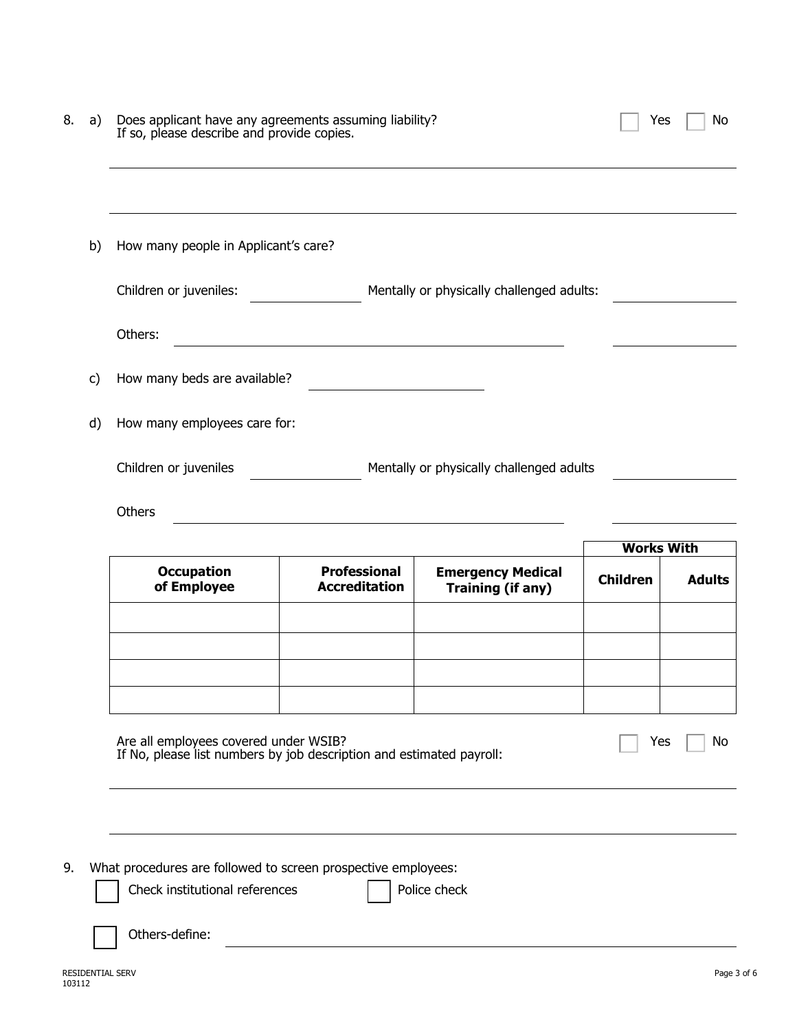| 8.<br>a) | Does applicant have any agreements assuming liability? If so, please describe and provide copies.                           | Yes                                                        | No                                                   |                 |               |  |  |  |
|----------|-----------------------------------------------------------------------------------------------------------------------------|------------------------------------------------------------|------------------------------------------------------|-----------------|---------------|--|--|--|
|          |                                                                                                                             |                                                            |                                                      |                 |               |  |  |  |
| b)       | How many people in Applicant's care?                                                                                        |                                                            |                                                      |                 |               |  |  |  |
|          | Children or juveniles:                                                                                                      | <u>and</u> and the state                                   | Mentally or physically challenged adults:            |                 |               |  |  |  |
|          | Others:                                                                                                                     |                                                            |                                                      |                 |               |  |  |  |
| C)       | How many beds are available?                                                                                                |                                                            |                                                      |                 |               |  |  |  |
| d)       | How many employees care for:                                                                                                |                                                            |                                                      |                 |               |  |  |  |
|          | Children or juveniles                                                                                                       |                                                            | Mentally or physically challenged adults             |                 |               |  |  |  |
|          | Others                                                                                                                      | <u> 1980 - Johann Barbara, martxa alemaniar amerikan a</u> |                                                      |                 |               |  |  |  |
|          | <b>Works With</b>                                                                                                           |                                                            |                                                      |                 |               |  |  |  |
|          | <b>Occupation</b><br>of Employee                                                                                            | <b>Professional</b><br><b>Accreditation</b>                | <b>Emergency Medical</b><br><b>Training (if any)</b> | <b>Children</b> | <b>Adults</b> |  |  |  |
|          |                                                                                                                             |                                                            |                                                      |                 |               |  |  |  |
|          |                                                                                                                             |                                                            |                                                      |                 |               |  |  |  |
|          |                                                                                                                             |                                                            |                                                      |                 |               |  |  |  |
|          | Are all employees covered under WSIB?<br>If No, please list numbers by job description and estimated payroll:<br>Yes<br>No. |                                                            |                                                      |                 |               |  |  |  |
|          |                                                                                                                             |                                                            |                                                      |                 |               |  |  |  |
| 9.       | What procedures are followed to screen prospective employees:<br>Check institutional references                             |                                                            | Police check                                         |                 |               |  |  |  |
|          | Others-define:                                                                                                              |                                                            |                                                      |                 |               |  |  |  |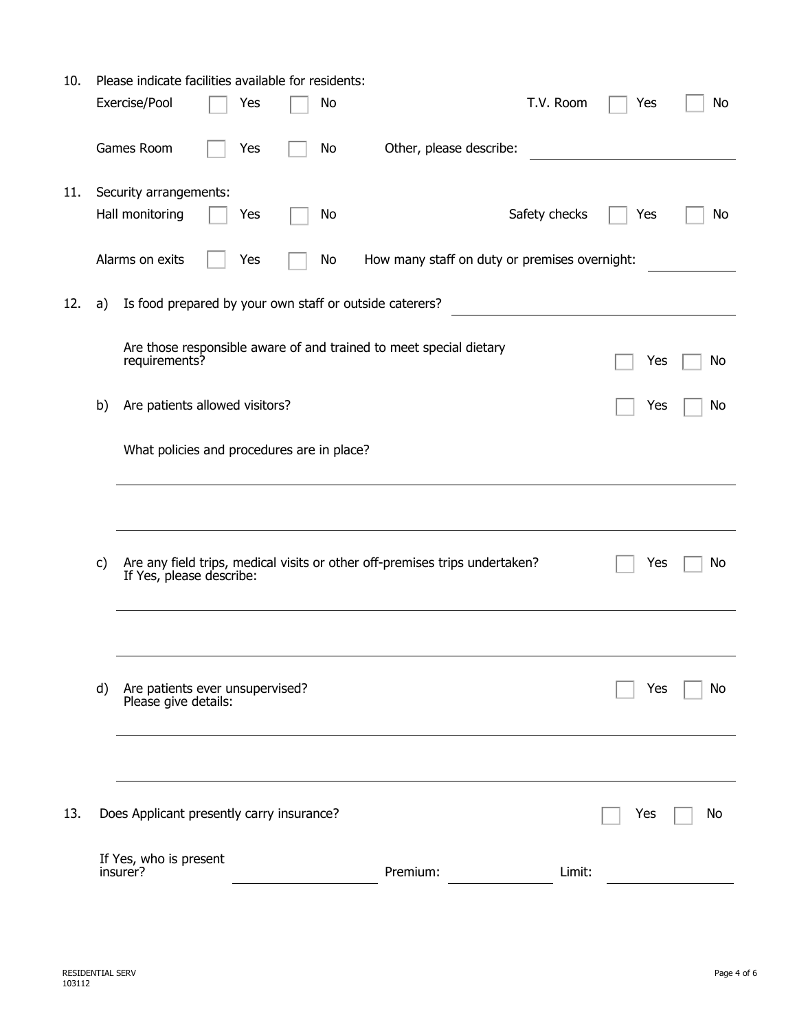| 10. |                                            | Please indicate facilities available for residents:     |  |     |  |    |                                                                             |           |     |    |
|-----|--------------------------------------------|---------------------------------------------------------|--|-----|--|----|-----------------------------------------------------------------------------|-----------|-----|----|
|     |                                            | Exercise/Pool                                           |  | Yes |  | No |                                                                             | T.V. Room | Yes | No |
|     |                                            | Games Room                                              |  | Yes |  | No | Other, please describe:                                                     |           |     |    |
| 11. |                                            | Security arrangements:                                  |  |     |  |    |                                                                             |           |     |    |
|     |                                            | Hall monitoring                                         |  | Yes |  | No | Safety checks                                                               |           | Yes | No |
|     |                                            | Alarms on exits                                         |  | Yes |  | No | How many staff on duty or premises overnight:                               |           |     |    |
| 12. | a)                                         |                                                         |  |     |  |    | Is food prepared by your own staff or outside caterers?                     |           |     |    |
|     |                                            | requirements?                                           |  |     |  |    | Are those responsible aware of and trained to meet special dietary          |           | Yes | No |
|     | b)                                         | Are patients allowed visitors?                          |  |     |  |    |                                                                             |           | Yes | No |
|     | What policies and procedures are in place? |                                                         |  |     |  |    |                                                                             |           |     |    |
|     |                                            |                                                         |  |     |  |    |                                                                             |           |     |    |
|     | c)                                         | If Yes, please describe:                                |  |     |  |    | Are any field trips, medical visits or other off-premises trips undertaken? |           | Yes | No |
|     |                                            |                                                         |  |     |  |    |                                                                             |           |     |    |
|     | d)                                         | Are patients ever unsupervised?<br>Please give details: |  |     |  |    |                                                                             |           | Yes | No |
|     |                                            |                                                         |  |     |  |    |                                                                             |           |     |    |
| 13. |                                            | Does Applicant presently carry insurance?               |  |     |  |    |                                                                             |           | Yes | No |
|     |                                            | If Yes, who is present<br>insurer?                      |  |     |  |    | Premium:                                                                    | Limit:    |     |    |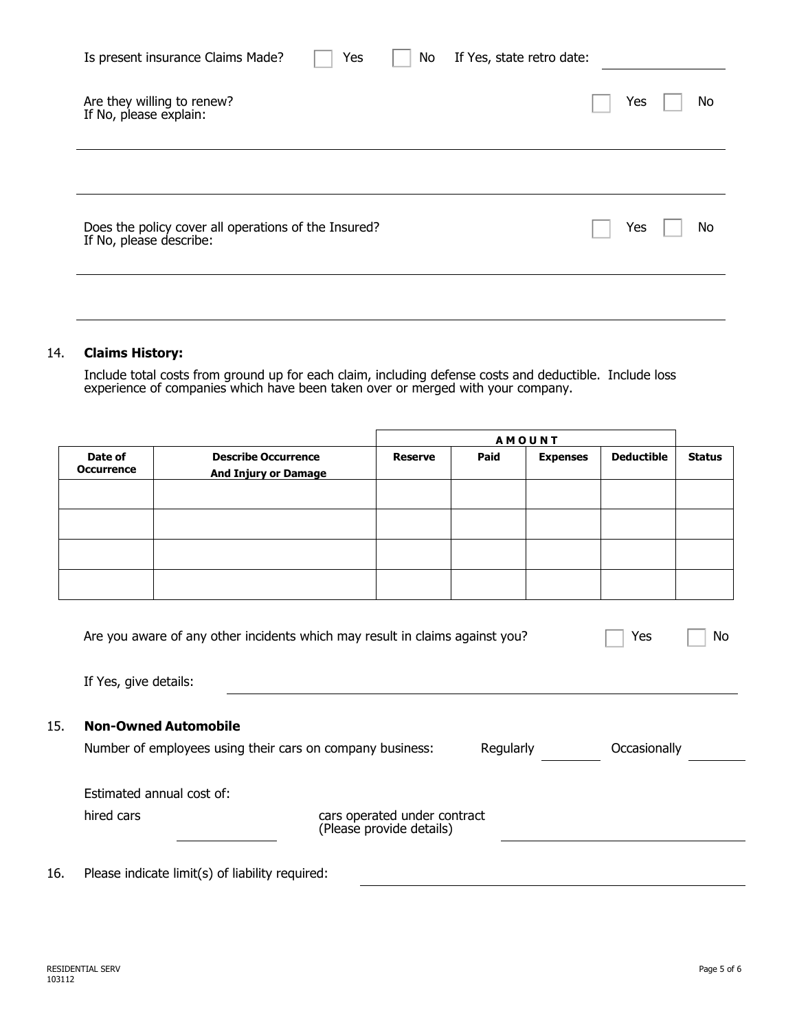| Is present insurance Claims Made?                                               | Yes | No | If Yes, state retro date: |     |    |
|---------------------------------------------------------------------------------|-----|----|---------------------------|-----|----|
| Are they willing to renew?<br>If No, please explain:                            |     |    |                           | Yes | No |
| Does the policy cover all operations of the Insured?<br>If No, please describe: |     |    |                           | Yes | No |
|                                                                                 |     |    |                           |     |    |

### 14. **Claims History:**

Include total costs from ground up for each claim, including defense costs and deductible. Include loss experience of companies which have been taken over or merged with your company.

|                              |                                                           | <b>AMOUNT</b>  |      |                 |                   |               |
|------------------------------|-----------------------------------------------------------|----------------|------|-----------------|-------------------|---------------|
| Date of<br><b>Occurrence</b> | <b>Describe Occurrence</b><br><b>And Injury or Damage</b> | <b>Reserve</b> | Paid | <b>Expenses</b> | <b>Deductible</b> | <b>Status</b> |
|                              |                                                           |                |      |                 |                   |               |
|                              |                                                           |                |      |                 |                   |               |
|                              |                                                           |                |      |                 |                   |               |
|                              |                                                           |                |      |                 |                   |               |

|     | Are you aware of any other incidents which may result in claims against you? |                                                          |           | Yes<br>No    |  |
|-----|------------------------------------------------------------------------------|----------------------------------------------------------|-----------|--------------|--|
|     | If Yes, give details:                                                        |                                                          |           |              |  |
| 15. | <b>Non-Owned Automobile</b>                                                  |                                                          |           |              |  |
|     | Number of employees using their cars on company business:                    |                                                          | Regularly | Occasionally |  |
|     | Estimated annual cost of:                                                    |                                                          |           |              |  |
|     | hired cars                                                                   | cars operated under contract<br>(Please provide details) |           |              |  |
| 16. | Please indicate limit(s) of liability required:                              |                                                          |           |              |  |